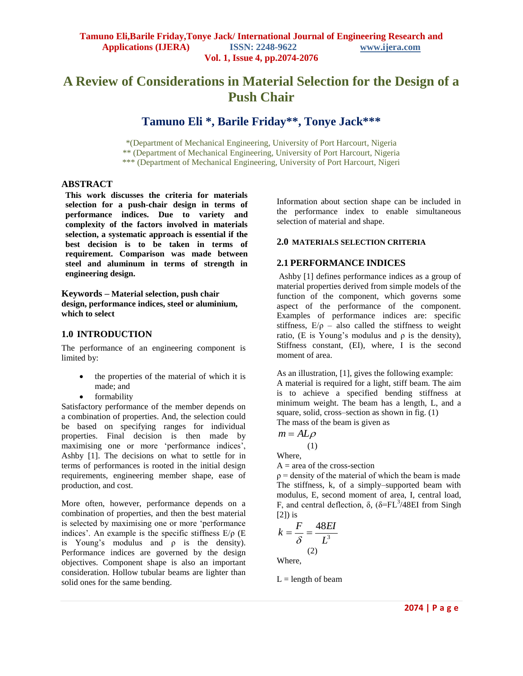# **A Review of Considerations in Material Selection for the Design of a Push Chair**

**Tamuno Eli \*, Barile Friday\*\*, Tonye Jack\*\*\***

\*(Department of Mechanical Engineering, University of Port Harcourt, Nigeria \*\* (Department of Mechanical Engineering, University of Port Harcourt, Nigeria \*\*\* (Department of Mechanical Engineering, University of Port Harcourt, Nigeri

#### **ABSTRACT**

**This work discusses the criteria for materials selection for a push-chair design in terms of performance indices. Due to variety and complexity of the factors involved in materials selection, a systematic approach is essential if the best decision is to be taken in terms of requirement. Comparison was made between steel and aluminum in terms of strength in engineering design.** 

**Keywords – Material selection, push chair design, performance indices, steel or aluminium, which to select**

### **1.0 INTRODUCTION**

The performance of an engineering component is limited by:

- the properties of the material of which it is made; and
- formability

Satisfactory performance of the member depends on a combination of properties. And, the selection could be based on specifying ranges for individual properties. Final decision is then made by maximising one or more 'performance indices', Ashby [1]. The decisions on what to settle for in terms of performances is rooted in the initial design requirements, engineering member shape, ease of production, and cost.

More often, however, performance depends on a combination of properties, and then the best material is selected by maximising one or more 'performance indices'. An example is the specific stiffness  $E/\rho$  (E is Young's modulus and ρ is the density). Performance indices are governed by the design objectives. Component shape is also an important consideration. Hollow tubular beams are lighter than solid ones for the same bending.

Information about section shape can be included in the performance index to enable simultaneous selection of material and shape.

#### **2.0 MATERIALS SELECTION CRITERIA**

## **2.1 PERFORMANCE INDICES**

Ashby [1] defines performance indices as a group of material properties derived from simple models of the function of the component, which governs some aspect of the performance of the component. Examples of performance indices are: specific stiffness,  $E/\rho$  – also called the stiffness to weight ratio, (E is Young's modulus and  $\rho$  is the density), Stiffness constant, (EI), where, I is the second moment of area.

As an illustration, [1], gives the following example: A material is required for a light, stiff beam. The aim is to achieve a specified bending stiffness at minimum weight. The beam has a length, L, and a square, solid, cross–section as shown in fig. (1) The mass of the beam is given as

 $m = AL\varrho$ 

(1)

Where,

 $A = area of the cross-section$ 

 $p =$  density of the material of which the beam is made The stiffness, k, of a simply–supported beam with modulus, E, second moment of area, I, central load, F, and central deflection,  $\delta$ , ( $\delta = FL^3/48EI$  from Singh  $[2]$ ) is

$$
k = \frac{F}{\delta} = \frac{48EI}{L^3}
$$
  
(2)

 $L =$  length of beam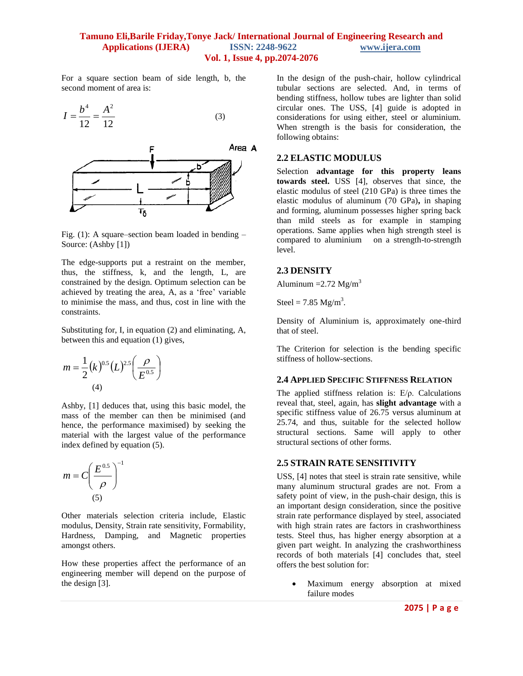#### **Tamuno Eli,Barile Friday,Tonye Jack/ International Journal of Engineering Research and Applications (IJERA) ISSN: 2248-9622 www.ijera.com Vol. 1, Issue 4, pp.2074-2076**

For a square section beam of side length, b, the second moment of area is:

$$
I = \frac{b^4}{12} = \frac{A^2}{12}
$$
 (3)



Fig. (1): A square–section beam loaded in bending – Source: (Ashby [1])

The edge-supports put a restraint on the member, thus, the stiffness, k, and the length, L, are constrained by the design. Optimum selection can be achieved by treating the area, A, as a 'free' variable to minimise the mass, and thus, cost in line with the constraints.

Substituting for, I, in equation (2) and eliminating, A, between this and equation (1) gives,

$$
m = \frac{1}{2} (k)^{0.5} (L)^{2.5} \left( \frac{\rho}{E^{0.5}} \right)
$$
  
(4)

Ashby, [1] deduces that, using this basic model, the mass of the member can then be minimised (and hence, the performance maximised) by seeking the material with the largest value of the performance index defined by equation (5).

$$
m = C \left(\frac{E^{0.5}}{\rho}\right)^{-1}
$$
  
(5)

Other materials selection criteria include, Elastic modulus, Density, Strain rate sensitivity, Formability, Hardness, Damping, and Magnetic properties amongst others.

How these properties affect the performance of an engineering member will depend on the purpose of the design [3].

In the design of the push-chair, hollow cylindrical tubular sections are selected. And, in terms of bending stiffness, hollow tubes are lighter than solid circular ones. The USS, [4] guide is adopted in considerations for using either, steel or aluminium. When strength is the basis for consideration, the following obtains:

#### **2.2 ELASTIC MODULUS**

Selection **advantage for this property leans towards steel.** USS [4], observes that since, the elastic modulus of steel (210 GPa) is three times the elastic modulus of aluminum (70 GPa)**,** in shaping and forming, aluminum possesses higher spring back than mild steels as for example in stamping operations. Same applies when high strength steel is compared to aluminium on a strength-to-strength level.

#### **2.3 DENSITY**

Aluminum  $=$  2.72 Mg/m<sup>3</sup>

Steel = 7.85  $Mg/m^3$ .

Density of Aluminium is, approximately one-third that of steel.

The Criterion for selection is the bending specific stiffness of hollow-sections.

## **2.4 APPLIED SPECIFIC STIFFNESS RELATION**

The applied stiffness relation is: E/ρ. Calculations reveal that, steel, again, has **slight advantage** with a specific stiffness value of 26.75 versus aluminum at 25.74, and thus, suitable for the selected hollow structural sections. Same will apply to other structural sections of other forms.

#### **2.5 STRAIN RATE SENSITIVITY**

USS, [4] notes that steel is strain rate sensitive, while many aluminum structural grades are not. From a safety point of view, in the push-chair design, this is an important design consideration, since the positive strain rate performance displayed by steel, associated with high strain rates are factors in crashworthiness tests. Steel thus, has higher energy absorption at a given part weight. In analyzing the crashworthiness records of both materials [4] concludes that, steel offers the best solution for:

> Maximum energy absorption at mixed failure modes